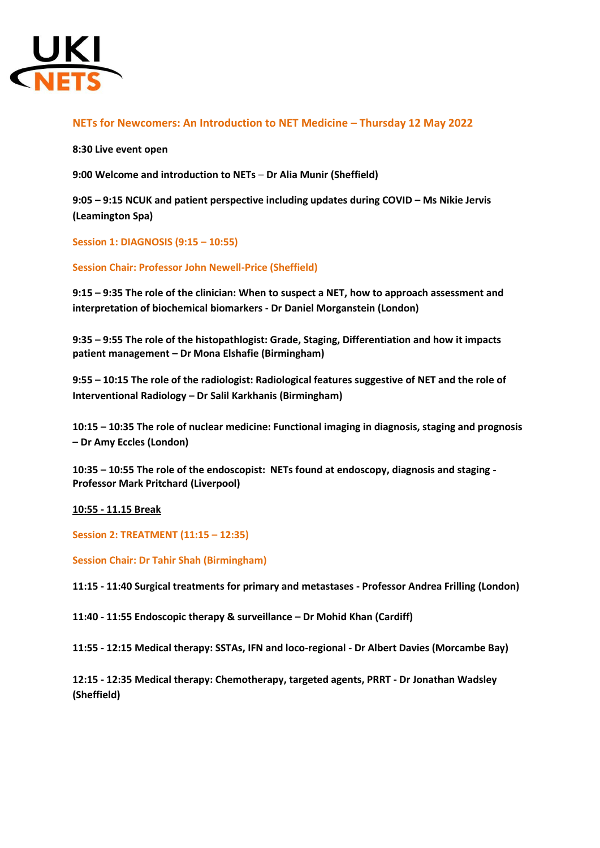

# **NETs for Newcomers: An Introduction to NET Medicine – Thursday 12 May 2022**

#### **8:30 Live event open**

**9:00 Welcome and introduction to NETs** – **Dr Alia Munir (Sheffield)**

**9:05 – 9:15 NCUK and patient perspective including updates during COVID – Ms Nikie Jervis (Leamington Spa)**

**Session 1: DIAGNOSIS (9:15 – 10:55)**

**Session Chair: Professor John Newell-Price (Sheffield)**

**9:15 – 9:35 The role of the clinician: When to suspect a NET, how to approach assessment and interpretation of biochemical biomarkers - Dr Daniel Morganstein (London)**

**9:35 – 9:55 The role of the histopathlogist: Grade, Staging, Differentiation and how it impacts patient management – Dr Mona Elshafie (Birmingham)**

**9:55 – 10:15 The role of the radiologist: Radiological features suggestive of NET and the role of Interventional Radiology – Dr Salil Karkhanis (Birmingham)**

**10:15 – 10:35 The role of nuclear medicine: Functional imaging in diagnosis, staging and prognosis – Dr Amy Eccles (London)**

**10:35 – 10:55 The role of the endoscopist: NETs found at endoscopy, diagnosis and staging - Professor Mark Pritchard (Liverpool)**

**10:55 - 11.15 Break**

**Session 2: TREATMENT (11:15 – 12:35)**

**Session Chair: Dr Tahir Shah (Birmingham)**

**11:15 - 11:40 Surgical treatments for primary and metastases - Professor Andrea Frilling (London)**

**11:40 - 11:55 Endoscopic therapy & surveillance – Dr Mohid Khan (Cardiff)**

**11:55 - 12:15 Medical therapy: SSTAs, IFN and loco-regional - Dr Albert Davies (Morcambe Bay)**

**12:15 - 12:35 Medical therapy: Chemotherapy, targeted agents, PRRT - Dr Jonathan Wadsley (Sheffield)**